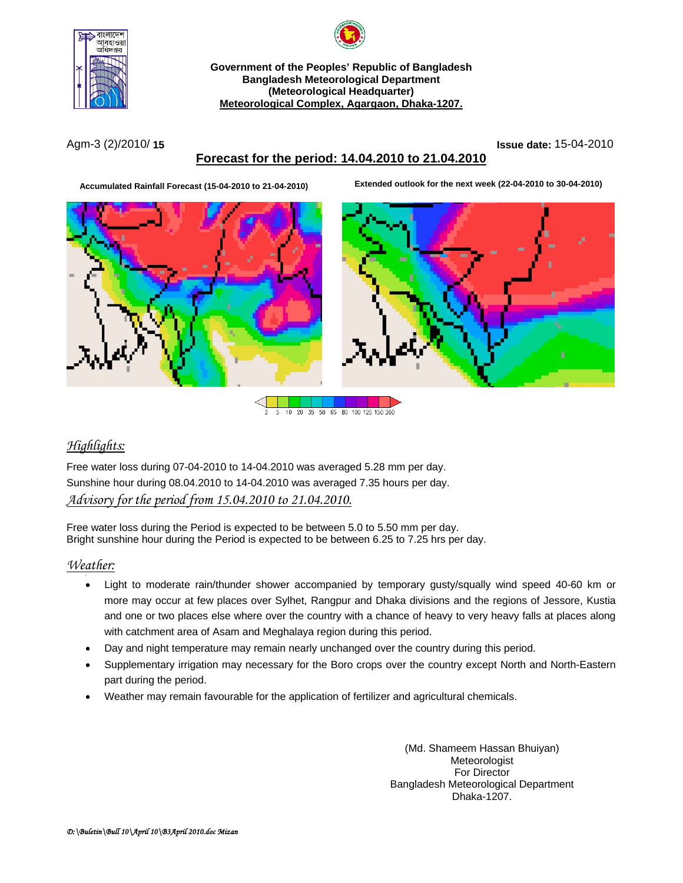



**Government of the Peoples' Republic of Bangladesh Bangladesh Meteorological Department (Meteorological Headquarter) Meteorological Complex, Agargaon, Dhaka-1207.**

Agm-3 (2)/2010/ **15 Issue date:** 15-04-2010

# **Forecast for the period: 14.04.2010 to 21.04.2010**

**Accumulated Rainfall Forecast (15-04-2010 to 21-04-2010) Extended outlook for the next week (22-04-2010 to 30-04-2010)**





 $10<sub>1</sub>$  $\overline{20}$ 35 50 65 80 100 125 150 200

# *Highlights:*

Free water loss during 07-04-2010 to 14-04.2010 was averaged 5.28 mm per day. Sunshine hour during 08.04.2010 to 14-04.2010 was averaged 7.35 hours per day. *Advisory for the period from 15.04.2010 to 21.04.2010.*

Free water loss during the Period is expected to be between 5.0 to 5.50 mm per day. Bright sunshine hour during the Period is expected to be between 6.25 to 7.25 hrs per day.

### *Weather:*

- Light to moderate rain/thunder shower accompanied by temporary gusty/squally wind speed 40-60 km or more may occur at few places over Sylhet, Rangpur and Dhaka divisions and the regions of Jessore, Kustia and one or two places else where over the country with a chance of heavy to very heavy falls at places along with catchment area of Asam and Meghalaya region during this period.
- Day and night temperature may remain nearly unchanged over the country during this period.
- Supplementary irrigation may necessary for the Boro crops over the country except North and North-Eastern part during the period.
- Weather may remain favourable for the application of fertilizer and agricultural chemicals.

(Md. Shameem Hassan Bhuiyan) Meteorologist For Director Bangladesh Meteorological Department Dhaka-1207.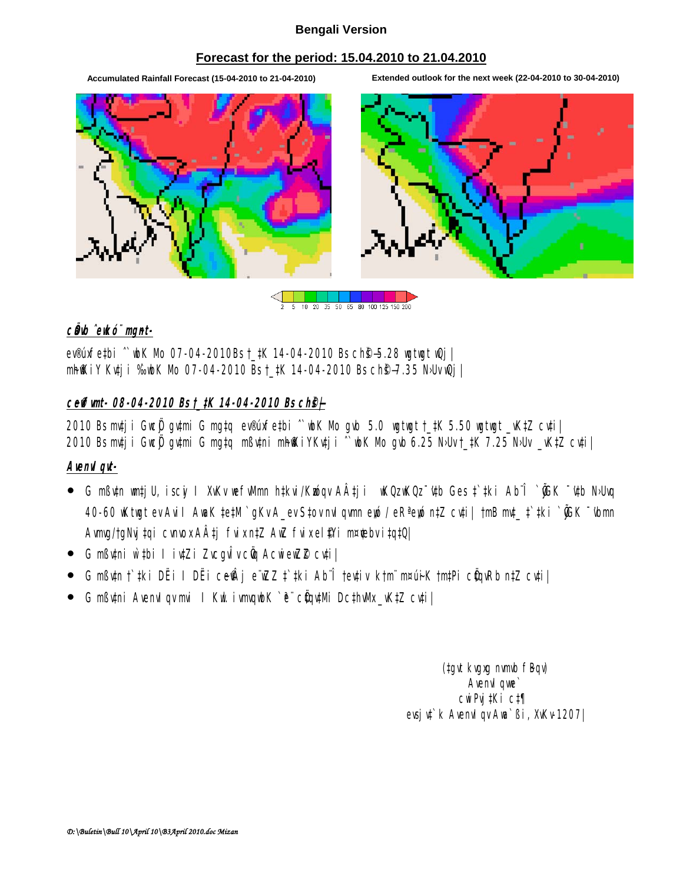### **Bengali Version**

## **Forecast for the period: 15.04.2010 to 21.04.2010**

**Accumulated Rainfall Forecast (15-04-2010 to 21-04-2010) Extended outlook for the next week (22-04-2010 to 30-04-2010)**



10 20 35 50 65 80 100 125 150 200

## *cÖdb ^ewkó¨ mgmt-*

ev®úxfe‡bi ^`wbK Mb 07-04-2010Bs †\_#K 14-04-2010 Bs ch**®-5.28 wgtwgt wQj** | mh@iy Kuti i ‰bK Mb 07-04-2010 Bs †\_tK 14-04-2010 Bs ch®–7.35 N·Uv @i |

## *c~e©vfvmt- 08-04-2010 Bs †\_‡K 14-04-2010 Bs ch©š—|*

 $2010$  Bs mtj i Gwe $\ddot{\textbf{y}}$  gytmi G mg‡q ev®úxfe‡bi  $\hat{ }$  wbK Mo gyb 5.0 wgtwgt †\_‡K 5.50 wgtwgt \_vK‡Z cyti $\parallel$ 2010 Bs m‡j i Gweÿ gy‡mi G mg‡q mßytni mh@kiYKy‡ji ^`wk Mo gwb 6.25 N·Uv†\_‡K 7.25 N·Uv \_vK‡Z cy‡i|

### *AvenvIqvt-*

- $\bullet$  G mßutn wat ju, iscyi I XuKv we full mn h‡kvi/Kwóqv AÂt ji wKQz wKQz ~'utb Ges † ‡ki Ab¨Î `@K ~'utb NoUvq 40-60 wKtwgt ev Avill AwaK ‡e‡M`gKv A\_ev S‡ov mulgvm eyó / eR<sup>a</sup> eyó n‡Z cv‡i| †mB mt\_ ‡`#ki `@K <sup>--</sup> (bmn Avmg/tgNyjtqi cvnox AÂtj fvix n‡Z AwZ fvix el@i m¤¢bv itqtQ|
- G mßytni w`#bi I iytZi ZvcguÎv cüq AcwieuZ2 cyti
- G mߢn †`#ki DËi I DËi ce@\j e¨wZZ ‡`#ki Ab¨Î †ev‡iv k†mï m¤ú÷K †m‡Pi cÖqvRb n‡Z cv‡i|
- G mßytni AvenvI gymi I Kut ivmgubK `ë¨ cüqy‡Mi Dc‡hvMx\_vK‡Z cy‡i|

(tayt kvaxa nvmb fBqv) Avenvil que` cwiPvj‡Ki c‡¶ evsjv‡`k AvenvIqv Awa`ßi, XvKv-1207|